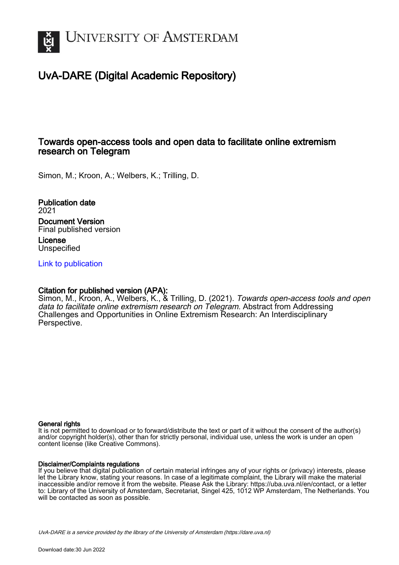

# UvA-DARE (Digital Academic Repository)

### Towards open-access tools and open data to facilitate online extremism research on Telegram

Simon, M.; Kroon, A.; Welbers, K.; Trilling, D.

Publication date 2021 Document Version Final published version License Unspecified

[Link to publication](https://dare.uva.nl/personal/pure/en/publications/towards-openaccess-tools-and-open-data-to-facilitate-online-extremism-research-on-telegram(7d81d409-01e0-4fe4-9c76-2e355ddd53dc).html)

### Citation for published version (APA):

Simon, M., Kroon, A., Welbers, K., & Trilling, D. (2021). Towards open-access tools and open data to facilitate online extremism research on Telegram. Abstract from Addressing Challenges and Opportunities in Online Extremism Research: An Interdisciplinary Perspective.

#### General rights

It is not permitted to download or to forward/distribute the text or part of it without the consent of the author(s) and/or copyright holder(s), other than for strictly personal, individual use, unless the work is under an open content license (like Creative Commons).

#### Disclaimer/Complaints regulations

If you believe that digital publication of certain material infringes any of your rights or (privacy) interests, please let the Library know, stating your reasons. In case of a legitimate complaint, the Library will make the material inaccessible and/or remove it from the website. Please Ask the Library: https://uba.uva.nl/en/contact, or a letter to: Library of the University of Amsterdam, Secretariat, Singel 425, 1012 WP Amsterdam, The Netherlands. You will be contacted as soon as possible.